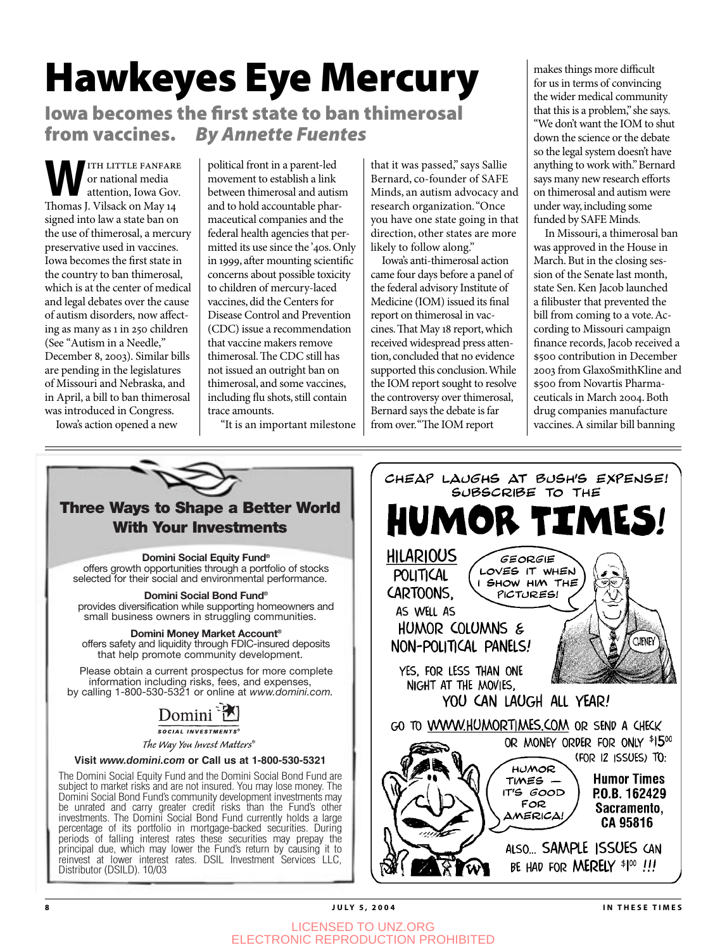# Hawkeyes Eye Mercury

Iowa becomes the first state to ban thimerosal from vaccines. By Annette Fuentes

**WEITH LITTLE FANFARE**<br>
or national media<br>
attention, Iowa Gov.<br>
Thomas Li<sup>Vileack</sup> on May 14 or national media Thomas J. Vilsack on May 14 signed into law a state ban on the use of thimerosal, a mercury preservative used in vaccines. Iowa becomes the first state in the country to ban thimerosal, which is at the center of medical and legal debates over the cause of autism disorders, now affecting as many as in 250 children (See "Autism in a Needle," December 8, 2003). Similar bills are pending in the legislatures of Missouri and Nebraska, and in April, a bill to ban thimerosal was introduced in Congress.

political front in a parent-led movement to establish a link between thimerosal and autism and to hold accountable pharmaceutical companies and the federal health agencies that permitted its use since the '40s. Only in 999, after mounting scientific concerns about possible toxicity to children of mercury-laced vaccines, did the Centers for Disease Control and Prevention (CDC) issue a recommendation that vaccine makers remove thimerosal. The CDC still has not issued an outright ban on thimerosal, and some vaccines, including flu shots, still contain trace amounts.

"It is an important milestone

that it was passed," says Sallie Bernard, co-founder of SAFE Minds, an autism advocacy and research organization. "Once you have one state going in that direction, other states are more likely to follow along."

Iowa's anti-thimerosal action came four days before a panel of the federal advisory Institute of Medicine (IOM) issued its final report on thimerosal in vaccines. That May 18 report, which received widespread press attention, concluded that no evidence supported this conclusion. While the IOM report sought to resolve the controversy over thimerosal, Bernard says the debate is far from over. "The IOM report

makes things more difficult for us in terms of convincing the wider medical community that this is a problem," she says. "We don't want the IOM to shut down the science or the debate so the legal system doesn't have anything to work with." Bernard says many new research efforts on thimerosal and autism were under way, including some funded by SAFE Minds.

In Missouri, a thimerosal ban was approved in the House in March. But in the closing session of the Senate last month, state Sen. Ken Jacob launched a filibuster that prevented the bill from coming to a vote. According to Missouri campaign finance records, Jacob received a \$500 contribution in December 2003 from GlaxoSmithKline and \$500 from Novartis Pharmaceuticals in March 2004. Both drug companies manufacture vaccines. A similar bill banning

Iowa's action opened a new



LICENSED TO UNZ.ORG ELECTRONIC REPRODUCTION PROHIBITED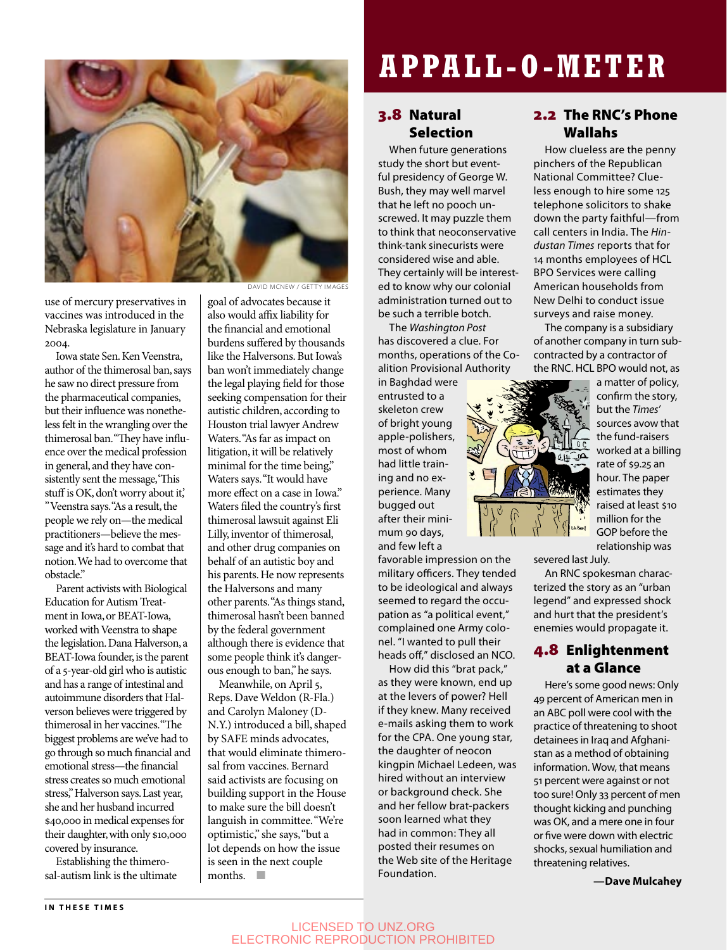

use of mercury preservatives in vaccines was introduced in the Nebraska legislature in January 2004.

Iowa state Sen. Ken Veenstra, author of the thimerosal ban, says he saw no direct pressure from the pharmaceutical companies, but their influence was nonetheless felt in the wrangling over the thimerosal ban. "They have influence over the medical profession in general, and they have consistently sent the message, 'This stuff is OK, don't worry about it,' " Veenstra says. "As a result, the people we rely on—the medical practitioners—believe the message and it's hard to combat that

notion. We had to overcome that obstacle." Parent activists with Biological Education for Autism Treatment in Iowa, or BEAT-Iowa, worked with Veenstra to shape the legislation. Dana Halverson, a BEAT-Iowa founder, is the parent of a 5-year-old girl who is autistic and has a range of intestinal and autoimmune disorders that Halverson believes were triggered by thimerosal in her vaccines. "The biggest problems are we've had to go through so much financial and emotional stress—the financial stress creates so much emotional stress," Halverson says. Last year, she and her husband incurred \$40,000 in medical expenses for their daughter, with only \$10,000

Establishing the thimerosal-autism link is the ultimate

DAVID MCNEW / GETTY IMAGES

goal of advocates because it also would affix liability for the financial and emotional burdens suffered by thousands like the Halversons. But Iowa's ban won't immediately change the legal playing field for those seeking compensation for their autistic children, according to Houston trial lawyer Andrew Waters. "As far as impact on litigation, it will be relatively minimal for the time being," Waters says. "It would have more effect on a case in Iowa." Waters filed the country's first thimerosal lawsuit against Eli Lilly, inventor of thimerosal, and other drug companies on behalf of an autistic boy and his parents. He now represents the Halversons and many other parents. "As things stand, thimerosal hasn't been banned by the federal government although there is evidence that some people think it's dangerous enough to ban," he says.

Meanwhile, on April 5, Reps. Dave Weldon (R-Fla.) and Carolyn Maloney (D-N.Y.) introduced a bill, shaped by SAFE minds advocates, that would eliminate thimerosal from vaccines. Bernard said activists are focusing on building support in the House to make sure the bill doesn't languish in committee. "We're optimistic," she says, "but a lot depends on how the issue is seen in the next couple months.  $\Box$ 

### **APPALL-O-METER**

#### 3.8 Natural Selection

When future generations study the short but eventful presidency of George W. Bush, they may well marvel that he left no pooch unscrewed. It may puzzle them to think that neoconservative think-tank sinecurists were considered wise and able. They certainly will be interested to know why our colonial administration turned out to be such a terrible botch.

The Washington Post has discovered a clue. For months, operations of the Coalition Provisional Authority

in Baghdad were entrusted to a skeleton crew of bright young apple-polishers, most of whom had little training and no experience. Many bugged out after their minimum 90 days, and few left a

favorable impression on the military officers. They tended to be ideological and always seemed to regard the occupation as "a political event," complained one Army colonel. "I wanted to pull their heads off," disclosed an NCO.

How did this "brat pack," as they were known, end up at the levers of power? Hell if they knew. Many received e-mails asking them to work for the CPA. One young star, the daughter of neocon kingpin Michael Ledeen, was hired without an interview or background check. She and her fellow brat-packers soon learned what they had in common: They all posted their resumes on the Web site of the Heritage Foundation.

#### 2.2 The RNC's Phone Wallahs

How clueless are the penny pinchers of the Republican National Committee? Clueless enough to hire some 125 telephone solicitors to shake down the party faithful—from call centers in India. The Hindustan Times reports that for 14 months employees of HCL BPO Services were calling American households from New Delhi to conduct issue surveys and raise money.

The company is a subsidiary of another company in turn subcontracted by a contractor of the RNC. HCL BPO would not, as



a matter of policy, confirm the story, but the Times' sources avow that the fund-raisers worked at a billing rate of \$9.25 an hour. The paper estimates they raised at least \$10 million for the GOP before the relationship was

severed last July.

An RNC spokesman characterized the story as an "urban legend" and expressed shock and hurt that the president's enemies would propagate it.

#### 4.8 Enlightenment at a Glance

Here's some good news: Only 49 percent of American men in an ABC poll were cool with the practice of threatening to shoot detainees in Iraq and Afghanistan as a method of obtaining information. Wow, that means 51 percent were against or not too sure! Only 33 percent of men thought kicking and punching was OK, and a mere one in four or five were down with electric shocks, sexual humiliation and threatening relatives.

**—Dave Mulcahey**

covered by insurance.